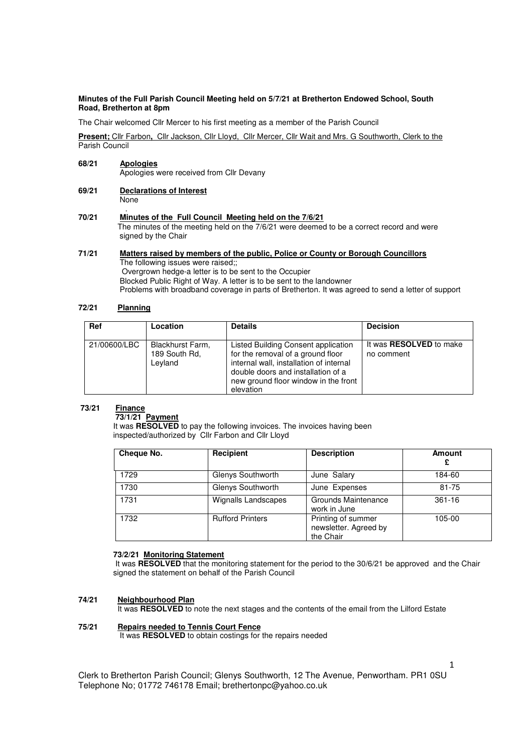#### **Minutes of the Full Parish Council Meeting held on 5/7/21 at Bretherton Endowed School, South Road, Bretherton at 8pm**

The Chair welcomed Cllr Mercer to his first meeting as a member of the Parish Council

**Present;** Cllr Farbon**,** Cllr Jackson, Cllr Lloyd, Cllr Mercer, Cllr Wait and Mrs. G Southworth, Clerk to the Parish Council

## **68/21 Apologies**

Apologies were received from Cllr Devany

- **69/21 Declarations of Interest** None
- . **70/21 Minutes of the Full Council Meeting held on the 7/6/21**  The minutes of the meeting held on the 7/6/21 were deemed to be a correct record and were signed by the Chair

# **71/21 Matters raised by members of the public, Police or County or Borough Councillors** The following issues were raised;;

 Overgrown hedge-a letter is to be sent to the Occupier Blocked Public Right of Way. A letter is to be sent to the landowner Problems with broadband coverage in parts of Bretherton. It was agreed to send a letter of support

# **72/21 Planning**

| <b>Ref</b>   | Location                                     | <b>Details</b>                                                                                                                                                                                                 | <b>Decision</b>                              |
|--------------|----------------------------------------------|----------------------------------------------------------------------------------------------------------------------------------------------------------------------------------------------------------------|----------------------------------------------|
| 21/00600/LBC | Blackhurst Farm,<br>189 South Rd,<br>Levland | Listed Building Consent application<br>for the removal of a ground floor<br>internal wall, installation of internal<br>double doors and installation of a<br>new ground floor window in the front<br>elevation | It was <b>RESOLVED</b> to make<br>no comment |

## **73/21 Finance**

# **73/1/21 Payment**

 It was **RESOLVED** to pay the following invoices. The invoices having been inspected/authorized by Cllr Farbon and Cllr Lloyd

| Cheque No. | Recipient               | <b>Description</b>                                       | Amount<br>£ |
|------------|-------------------------|----------------------------------------------------------|-------------|
| 1729       | Glenys Southworth       | June Salary                                              | 184-60      |
| 1730       | Glenys Southworth       | June Expenses                                            | 81-75       |
| 1731       | Wignalls Landscapes     | Grounds Maintenance<br>work in June                      | 361-16      |
| 1732       | <b>Rufford Printers</b> | Printing of summer<br>newsletter. Agreed by<br>the Chair | 105-00      |

## **73/2/21 Monitoring Statement**

 It was **RESOLVED** that the monitoring statement for the period to the 30/6/21 be approved and the Chair signed the statement on behalf of the Parish Council

# **74/21 Neighbourhood Plan**

It was **RESOLVED** to note the next stages and the contents of the email from the Lilford Estate

## **75/21 Repairs needed to Tennis Court Fence**

It was **RESOLVED** to obtain costings for the repairs needed

Clerk to Bretherton Parish Council; Glenys Southworth, 12 The Avenue, Penwortham. PR1 0SU Telephone No; 01772 746178 Email; brethertonpc@yahoo.co.uk

1